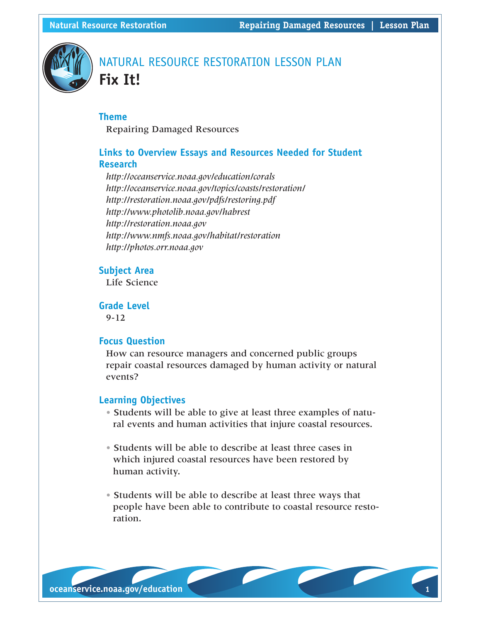

# NATURAL RESOURCE RESTORATION LESSON PLAN **Fix It!**

## **Theme**

Repairing Damaged Resources

# **Links to Overview Essays and Resources Needed for Student Research**

*http://oceanservice.noaa.gov/education/corals http://oceanservice.noaa.gov/topics/coasts/restoration/ http://restoration.noaa.gov/pdfs/restoring.pdf http://www.photolib.noaa.gov/habrest http://restoration.noaa.gov http://www.nmfs.noaa.gov/habitat/restoration http://photos.orr.noaa.gov*

#### **Subject Area**

Life Science

**Grade Level** 9-12

#### **Focus Question**

How can resource managers and concerned public groups repair coastal resources damaged by human activity or natural events?

## **Learning Objectives**

- Students will be able to give at least three examples of natural events and human activities that injure coastal resources.
- Students will be able to describe at least three cases in which injured coastal resources have been restored by human activity.
- Students will be able to describe at least three ways that people have been able to contribute to coastal resource restoration.

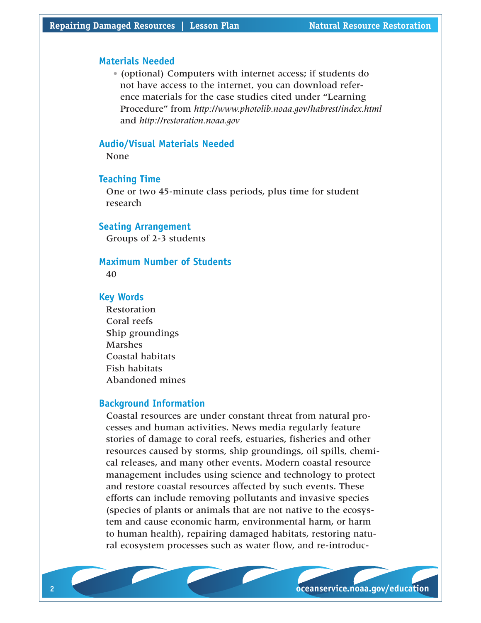#### **Materials Needed**

• (optional) Computers with internet access; if students do not have access to the internet, you can download reference materials for the case studies cited under "Learning Procedure" from *http://www.photolib.noaa.gov/habrest/index.html* and *http://restoration.noaa.gov*

#### **Audio/Visual Materials Needed**

None

## **Teaching Time**

One or two 45-minute class periods, plus time for student research

#### **Seating Arrangement**

Groups of 2-3 students

#### **Maximum Number of Students**

40

#### **Key Words**

Restoration Coral reefs Ship groundings Marshes Coastal habitats Fish habitats Abandoned mines

## **Background Information**

Coastal resources are under constant threat from natural processes and human activities. News media regularly feature stories of damage to coral reefs, estuaries, fisheries and other resources caused by storms, ship groundings, oil spills, chemical releases, and many other events. Modern coastal resource management includes using science and technology to protect and restore coastal resources affected by such events. These efforts can include removing pollutants and invasive species (species of plants or animals that are not native to the ecosystem and cause economic harm, environmental harm, or harm to human health), repairing damaged habitats, restoring natural ecosystem processes such as water flow, and re-introduc-

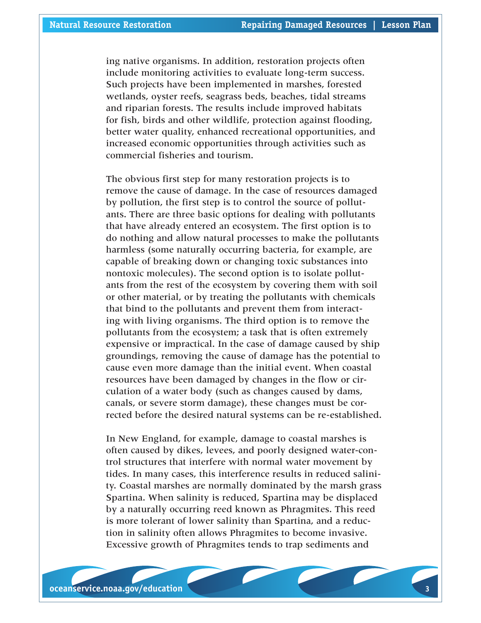ing native organisms. In addition, restoration projects often include monitoring activities to evaluate long-term success. Such projects have been implemented in marshes, forested wetlands, oyster reefs, seagrass beds, beaches, tidal streams and riparian forests. The results include improved habitats for fish, birds and other wildlife, protection against flooding, better water quality, enhanced recreational opportunities, and increased economic opportunities through activities such as commercial fisheries and tourism.

The obvious first step for many restoration projects is to remove the cause of damage. In the case of resources damaged by pollution, the first step is to control the source of pollutants. There are three basic options for dealing with pollutants that have already entered an ecosystem. The first option is to do nothing and allow natural processes to make the pollutants harmless (some naturally occurring bacteria, for example, are capable of breaking down or changing toxic substances into nontoxic molecules). The second option is to isolate pollutants from the rest of the ecosystem by covering them with soil or other material, or by treating the pollutants with chemicals that bind to the pollutants and prevent them from interacting with living organisms. The third option is to remove the pollutants from the ecosystem; a task that is often extremely expensive or impractical. In the case of damage caused by ship groundings, removing the cause of damage has the potential to cause even more damage than the initial event. When coastal resources have been damaged by changes in the flow or circulation of a water body (such as changes caused by dams, canals, or severe storm damage), these changes must be corrected before the desired natural systems can be re-established.

In New England, for example, damage to coastal marshes is often caused by dikes, levees, and poorly designed water-control structures that interfere with normal water movement by tides. In many cases, this interference results in reduced salinity. Coastal marshes are normally dominated by the marsh grass Spartina. When salinity is reduced, Spartina may be displaced by a naturally occurring reed known as Phragmites. This reed is more tolerant of lower salinity than Spartina, and a reduction in salinity often allows Phragmites to become invasive. Excessive growth of Phragmites tends to trap sediments and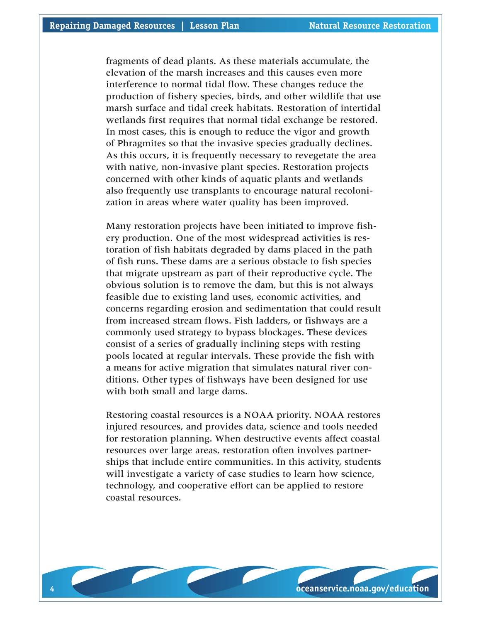fragments of dead plants. As these materials accumulate, the elevation of the marsh increases and this causes even more interference to normal tidal flow. These changes reduce the production of fishery species, birds, and other wildlife that use marsh surface and tidal creek habitats. Restoration of intertidal wetlands first requires that normal tidal exchange be restored. In most cases, this is enough to reduce the vigor and growth of Phragmites so that the invasive species gradually declines. As this occurs, it is frequently necessary to revegetate the area with native, non-invasive plant species. Restoration projects concerned with other kinds of aquatic plants and wetlands also frequently use transplants to encourage natural recolonization in areas where water quality has been improved.

Many restoration projects have been initiated to improve fishery production. One of the most widespread activities is restoration of fish habitats degraded by dams placed in the path of fish runs. These dams are a serious obstacle to fish species that migrate upstream as part of their reproductive cycle. The obvious solution is to remove the dam, but this is not always feasible due to existing land uses, economic activities, and concerns regarding erosion and sedimentation that could result from increased stream flows. Fish ladders, or fishways are a commonly used strategy to bypass blockages. These devices consist of a series of gradually inclining steps with resting pools located at regular intervals. These provide the fish with a means for active migration that simulates natural river conditions. Other types of fishways have been designed for use with both small and large dams.

Restoring coastal resources is a NOAA priority. NOAA restores injured resources, and provides data, science and tools needed for restoration planning. When destructive events affect coastal resources over large areas, restoration often involves partnerships that include entire communities. In this activity, students will investigate a variety of case studies to learn how science, technology, and cooperative effort can be applied to restore coastal resources.

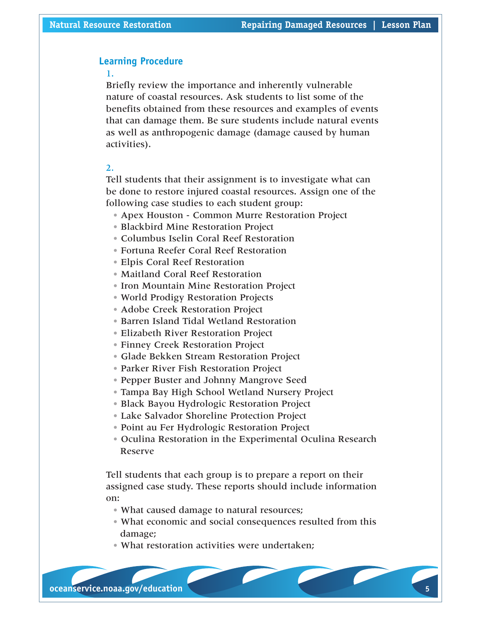## **Learning Procedure**

#### 1.

Briefly review the importance and inherently vulnerable nature of coastal resources. Ask students to list some of the benefits obtained from these resources and examples of events that can damage them. Be sure students include natural events as well as anthropogenic damage (damage caused by human activities).

#### 2.

Tell students that their assignment is to investigate what can be done to restore injured coastal resources. Assign one of the following case studies to each student group:

- Apex Houston Common Murre Restoration Project
- Blackbird Mine Restoration Project
- Columbus Iselin Coral Reef Restoration
- Fortuna Reefer Coral Reef Restoration
- Elpis Coral Reef Restoration
- Maitland Coral Reef Restoration
- Iron Mountain Mine Restoration Project
- World Prodigy Restoration Projects
- Adobe Creek Restoration Project
- Barren Island Tidal Wetland Restoration
- Elizabeth River Restoration Project
- Finney Creek Restoration Project
- Glade Bekken Stream Restoration Project
- Parker River Fish Restoration Project
- Pepper Buster and Johnny Mangrove Seed
- Tampa Bay High School Wetland Nursery Project
- Black Bayou Hydrologic Restoration Project
- Lake Salvador Shoreline Protection Project
- Point au Fer Hydrologic Restoration Project
- Oculina Restoration in the Experimental Oculina Research Reserve

Tell students that each group is to prepare a report on their assigned case study. These reports should include information on:

- What caused damage to natural resources;
- What economic and social consequences resulted from this damage;
- What restoration activities were undertaken;

**4 oceanservice.noaa.gov/education oceanservice.noaa.gov/education 5**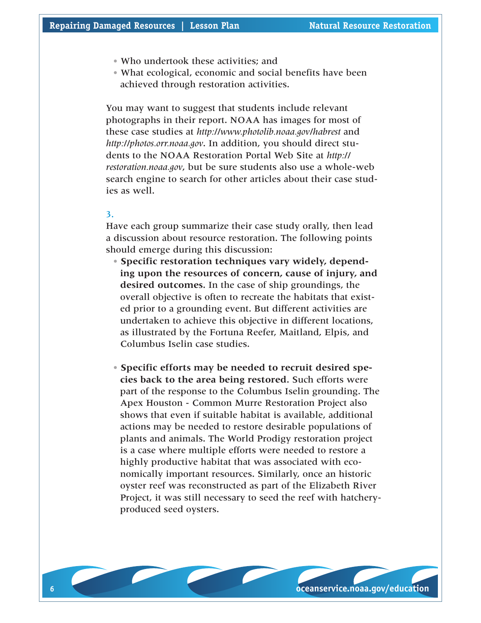- Who undertook these activities; and
- What ecological, economic and social benefits have been achieved through restoration activities.

You may want to suggest that students include relevant photographs in their report. NOAA has images for most of these case studies at *http://www.photolib.noaa.gov/habrest* and *http://photos.orr.noaa.gov*. In addition, you should direct students to the NOAA Restoration Portal Web Site at *http:// restoration.noaa.gov*, but be sure students also use a whole-web search engine to search for other articles about their case studies as well.

#### 3.

Have each group summarize their case study orally, then lead a discussion about resource restoration. The following points should emerge during this discussion:

- **Specific restoration techniques vary widely, depending upon the resources of concern, cause of injury, and desired outcomes.** In the case of ship groundings, the overall objective is often to recreate the habitats that existed prior to a grounding event. But different activities are undertaken to achieve this objective in different locations, as illustrated by the Fortuna Reefer, Maitland, Elpis, and Columbus Iselin case studies.
- **Specific efforts may be needed to recruit desired species back to the area being restored.** Such efforts were part of the response to the Columbus Iselin grounding. The Apex Houston - Common Murre Restoration Project also shows that even if suitable habitat is available, additional actions may be needed to restore desirable populations of plants and animals. The World Prodigy restoration project is a case where multiple efforts were needed to restore a highly productive habitat that was associated with economically important resources. Similarly, once an historic oyster reef was reconstructed as part of the Elizabeth River Project, it was still necessary to seed the reef with hatcheryproduced seed oysters.

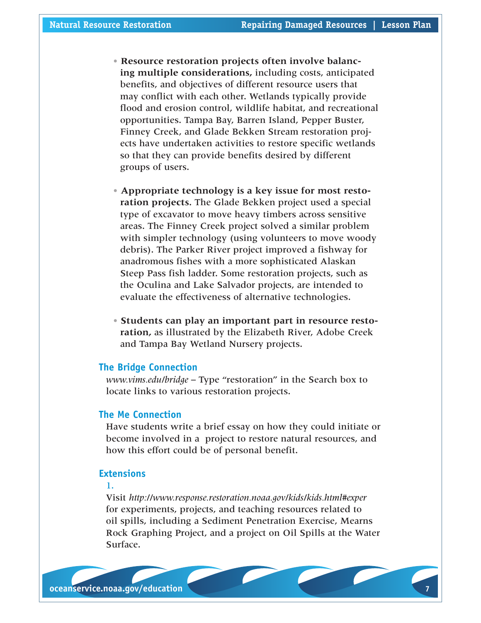- **Resource restoration projects often involve balancing multiple considerations,** including costs, anticipated benefits, and objectives of different resource users that may conflict with each other. Wetlands typically provide flood and erosion control, wildlife habitat, and recreational opportunities. Tampa Bay, Barren Island, Pepper Buster, Finney Creek, and Glade Bekken Stream restoration projects have undertaken activities to restore specific wetlands so that they can provide benefits desired by different groups of users.
- **Appropriate technology is a key issue for most restoration projects.** The Glade Bekken project used a special type of excavator to move heavy timbers across sensitive areas. The Finney Creek project solved a similar problem with simpler technology (using volunteers to move woody debris). The Parker River project improved a fishway for anadromous fishes with a more sophisticated Alaskan Steep Pass fish ladder. Some restoration projects, such as the Oculina and Lake Salvador projects, are intended to evaluate the effectiveness of alternative technologies.
- **Students can play an important part in resource restoration,** as illustrated by the Elizabeth River, Adobe Creek and Tampa Bay Wetland Nursery projects.

#### **The Bridge Connection**

*www.vims.edu/bridge* – Type "restoration" in the Search box to locate links to various restoration projects.

## **The Me Connection**

Have students write a brief essay on how they could initiate or become involved in a project to restore natural resources, and how this effort could be of personal benefit.

## **Extensions**

## 1.

Visit *http://www.response.restoration.noaa.gov/kids/kids.html#exper* for experiments, projects, and teaching resources related to oil spills, including a Sediment Penetration Exercise, Mearns Rock Graphing Project, and a project on Oil Spills at the Water Surface.

**6 oceanservice.noaa.gov/education oceanservice.noaa.gov/education 7**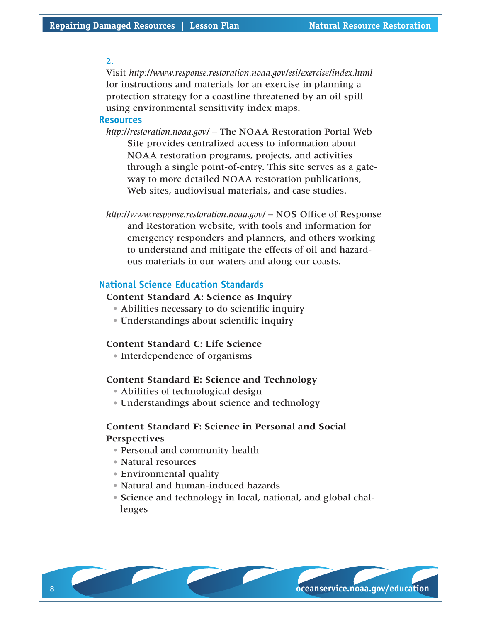#### $2<sub>1</sub>$

Visit *http://www.response.restoration.noaa.gov/esi/exercise/index.html* for instructions and materials for an exercise in planning a protection strategy for a coastline threatened by an oil spill using environmental sensitivity index maps.

#### **Resources**

*http://restoration.noaa.gov/* – The NOAA Restoration Portal Web Site provides centralized access to information about NOAA restoration programs, projects, and activities through a single point-of-entry. This site serves as a gateway to more detailed NOAA restoration publications, Web sites, audiovisual materials, and case studies.

*http://www.response.restoration.noaa.gov/* – NOS Office of Response and Restoration website, with tools and information for emergency responders and planners, and others working to understand and mitigate the effects of oil and hazardous materials in our waters and along our coasts.

## **National Science Education Standards**

## **Content Standard A: Science as Inquiry**

- Abilities necessary to do scientific inquiry
- Understandings about scientific inquiry

#### **Content Standard C: Life Science**

• Interdependence of organisms

#### **Content Standard E: Science and Technology**

- Abilities of technological design
- Understandings about science and technology

# **Content Standard F: Science in Personal and Social Perspectives**

- Personal and community health
- Natural resources
- Environmental quality
- Natural and human-induced hazards
- Science and technology in local, national, and global challenges

**8 oceanservice.noaa.gov/education oceanservice.noaa.gov/education 9**